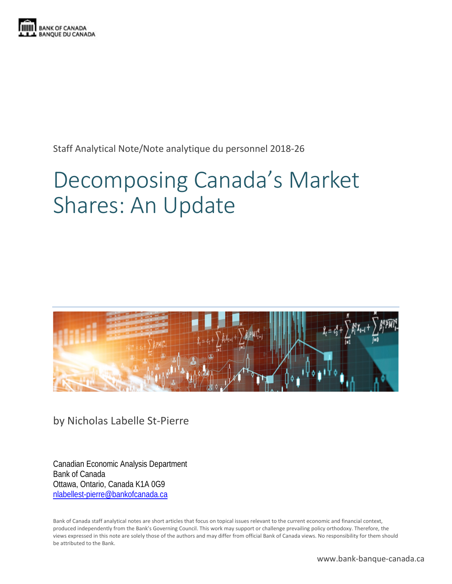

Staff Analytical Note/Note analytique du personnel 2018-26

# Decomposing Canada's Market Shares: An Update



by Nicholas Labelle St-Pierre

Canadian Economic Analysis Department Bank of Canada Ottawa, Ontario, Canada K1A 0G9 [nlabellest-pierre@bankofcanada.ca](mailto:nlabellest-pierre@bankofcanada.ca)

Bank of Canada staff analytical notes are short articles that focus on topical issues relevant to the current economic and financial context, produced independently from the Bank's Governing Council. This work may support or challenge prevailing policy orthodoxy. Therefore, the views expressed in this note are solely those of the authors and may differ from official Bank of Canada views. No responsibility for them should be attributed to the Bank.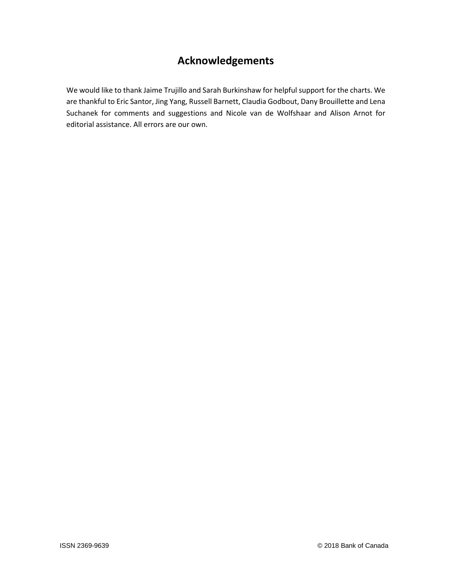# **Acknowledgements**

We would like to thank Jaime Trujillo and Sarah Burkinshaw for helpful support for the charts. We are thankful to Eric Santor, Jing Yang, Russell Barnett, Claudia Godbout, Dany Brouillette and Lena Suchanek for comments and suggestions and Nicole van de Wolfshaar and Alison Arnot for editorial assistance. All errors are our own.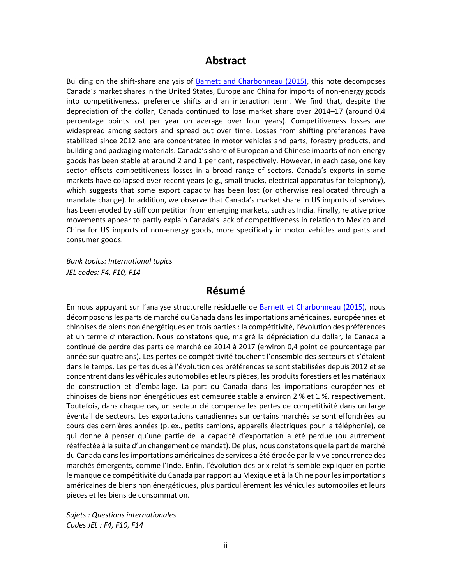# **Abstract**

Building on the shift-share analysis of **Barnett and Charbonneau (2015)**, this note decomposes Canada's market shares in the United States, Europe and China for imports of non-energy goods into competitiveness, preference shifts and an interaction term. We find that, despite the depreciation of the dollar, Canada continued to lose market share over 2014–17 (around 0.4 percentage points lost per year on average over four years). Competitiveness losses are widespread among sectors and spread out over time. Losses from shifting preferences have stabilized since 2012 and are concentrated in motor vehicles and parts, forestry products, and building and packaging materials. Canada's share of European and Chinese imports of non-energy goods has been stable at around 2 and 1 per cent, respectively. However, in each case, one key sector offsets competitiveness losses in a broad range of sectors. Canada's exports in some markets have collapsed over recent years (e.g., small trucks, electrical apparatus for telephony), which suggests that some export capacity has been lost (or otherwise reallocated through a mandate change). In addition, we observe that Canada's market share in US imports of services has been eroded by stiff competition from emerging markets, such as India. Finally, relative price movements appear to partly explain Canada's lack of competitiveness in relation to Mexico and China for US imports of non-energy goods, more specifically in motor vehicles and parts and consumer goods.

*Bank topics: International topics JEL codes: F4, F10, F14*

# **Résumé**

En nous appuyant sur l'analyse structurelle résiduelle de [Barnett et Charbonneau \(2015\),](https://www.banqueducanada.ca/2015/08/document-analyse-2015-5/) nous décomposons les parts de marché du Canada dans les importations américaines, européennes et chinoises de biens non énergétiques en trois parties : la compétitivité, l'évolution des préférences et un terme d'interaction. Nous constatons que, malgré la dépréciation du dollar, le Canada a continué de perdre des parts de marché de 2014 à 2017 (environ 0,4 point de pourcentage par année sur quatre ans). Les pertes de compétitivité touchent l'ensemble des secteurs et s'étalent dans le temps. Les pertes dues à l'évolution des préférences se sont stabilisées depuis 2012 et se concentrent dans les véhicules automobiles et leurs pièces, les produits forestiers et les matériaux de construction et d'emballage. La part du Canada dans les importations européennes et chinoises de biens non énergétiques est demeurée stable à environ 2 % et 1 %, respectivement. Toutefois, dans chaque cas, un secteur clé compense les pertes de compétitivité dans un large éventail de secteurs. Les exportations canadiennes sur certains marchés se sont effondrées au cours des dernières années (p. ex., petits camions, appareils électriques pour la téléphonie), ce qui donne à penser qu'une partie de la capacité d'exportation a été perdue (ou autrement réaffectée à la suite d'un changement de mandat). De plus, nous constatons que la part de marché du Canada dans les importations américaines de services a été érodée par la vive concurrence des marchés émergents, comme l'Inde. Enfin, l'évolution des prix relatifs semble expliquer en partie le manque de compétitivité du Canada par rapport au Mexique et à la Chine pour les importations américaines de biens non énergétiques, plus particulièrement les véhicules automobiles et leurs pièces et les biens de consommation.

*Sujets : Questions internationales Codes JEL : F4, F10, F14*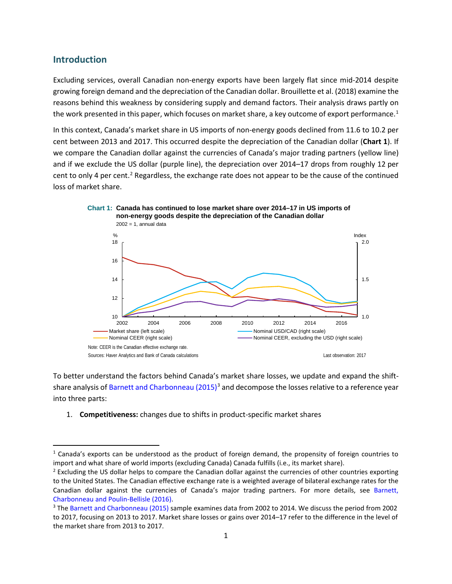### **Introduction**

Excluding services, overall Canadian non-energy exports have been largely flat since mid-2014 despite growing foreign demand and the depreciation of the Canadian dollar. Brouillette et al. (2018) examine the reasons behind this weakness by considering supply and demand factors. Their analysis draws partly on the work presented in this paper, which focuses on market share, a key outcome of export performance.<sup>[1](#page-3-0)</sup>

In this context, Canada's market share in US imports of non-energy goods declined from 11.6 to 10.2 per cent between 2013 and 2017. This occurred despite the depreciation of the Canadian dollar (**Chart 1**). If we compare the Canadian dollar against the currencies of Canada's major trading partners (yellow line) and if we exclude the US dollar (purple line), the depreciation over 2014–17 drops from roughly 12 per cent to only 4 per cent.<sup>[2](#page-3-1)</sup> Regardless, the exchange rate does not appear to be the cause of the continued loss of market share.



To better understand the factors behind Canada's market share losses, we update and expand the shiftshare analysis o[f Barnett and Charbonneau \(2015\)](https://www.bankofcanada.ca/2015/08/discussion-paper-2015-5/)<sup>[3](#page-3-2)</sup> and decompose the losses relative to a reference year into three parts:

1. **Competitiveness:** changes due to shifts in product-specific market shares

<span id="page-3-0"></span> $1$  Canada's exports can be understood as the product of foreign demand, the propensity of foreign countries to import and what share of world imports (excluding Canada) Canada fulfills (i.e., its market share).

<span id="page-3-1"></span><sup>&</sup>lt;sup>2</sup> Excluding the US dollar helps to compare the Canadian dollar against the currencies of other countries exporting to the United States. The Canadian effective exchange rate is a weighted average of bilateral exchange rates for the Canadian dollar against the currencies of Canada's major trading partners. For more details, see [Barnett,](https://www.bankofcanada.ca/2016/01/staff-discussion-paper-2016-1/)  [Charbonneau and Poulin-Bellisle](https://www.bankofcanada.ca/2016/01/staff-discussion-paper-2016-1/) (2016).

<span id="page-3-2"></span><sup>3</sup> The [Barnett and Charbonneau \(2015\)](https://www.bankofcanada.ca/2015/08/discussion-paper-2015-5/) sample examines data from 2002 to 2014. We discuss the period from 2002 to 2017, focusing on 2013 to 2017. Market share losses or gains over 2014–17 refer to the difference in the level of the market share from 2013 to 2017.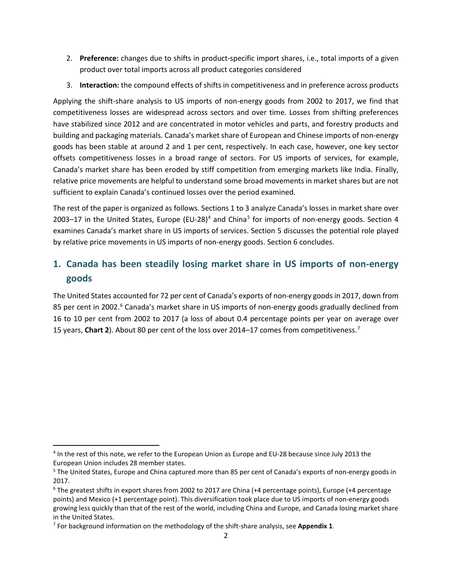- 2. **Preference:** changes due to shifts in product-specific import shares, i.e., total imports of a given product over total imports across all product categories considered
- 3. **Interaction:** the compound effects of shifts in competitiveness and in preference across products

Applying the shift-share analysis to US imports of non-energy goods from 2002 to 2017, we find that competitiveness losses are widespread across sectors and over time. Losses from shifting preferences have stabilized since 2012 and are concentrated in motor vehicles and parts, and forestry products and building and packaging materials. Canada's market share of European and Chinese imports of non-energy goods has been stable at around 2 and 1 per cent, respectively. In each case, however, one key sector offsets competitiveness losses in a broad range of sectors. For US imports of services, for example, Canada's market share has been eroded by stiff competition from emerging markets like India. Finally, relative price movements are helpful to understand some broad movements in market shares but are not sufficient to explain Canada's continued losses over the period examined.

The rest of the paper is organized as follows. Sections 1 to 3 analyze Canada's losses in market share over 2003–17 in the United States, Europe (EU-28)<sup>[4](#page-4-0)</sup> and China<sup>[5](#page-4-1)</sup> for imports of non-energy goods. Section 4 examines Canada's market share in US imports of services. Section 5 discusses the potential role played by relative price movements in US imports of non-energy goods. Section 6 concludes.

# **1. Canada has been steadily losing market share in US imports of non-energy goods**

The United States accounted for 72 per cent of Canada's exports of non-energy goods in 2017, down from 85 per cent in 2002.<sup>[6](#page-4-2)</sup> Canada's market share in US imports of non-energy goods gradually declined from 16 to 10 per cent from 2002 to 2017 (a loss of about 0.4 percentage points per year on average over 15 years, **Chart 2**). About 80 per cent of the loss over 2014–17 comes from competitiveness.[7](#page-4-3)

<span id="page-4-0"></span> <sup>4</sup> In the rest of this note, we refer to the European Union as Europe and EU-28 because since July 2013 the European Union includes 28 member states.

<span id="page-4-1"></span><sup>&</sup>lt;sup>5</sup> The United States, Europe and China captured more than 85 per cent of Canada's exports of non-energy goods in 2017.

<span id="page-4-2"></span><sup>6</sup> The greatest shifts in export shares from 2002 to 2017 are China (+4 percentage points), Europe (+4 percentage points) and Mexico (+1 percentage point). This diversification took place due to US imports of non-energy goods growing less quickly than that of the rest of the world, including China and Europe, and Canada losing market share in the United States.

<span id="page-4-3"></span><sup>7</sup> For background information on the methodology of the shift-share analysis, see **Appendix 1**.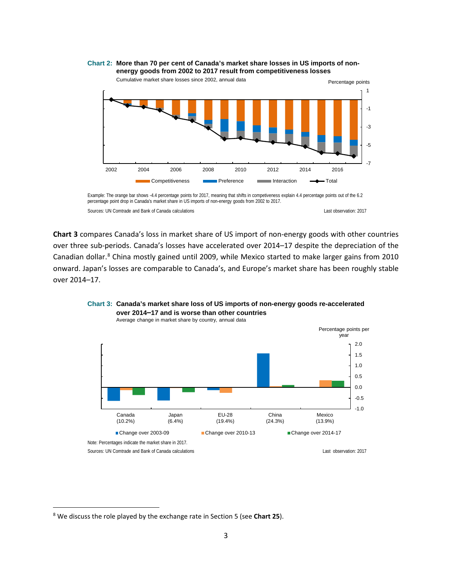**Chart 2: More than 70 per cent of Canada's market share losses in US imports of nonenergy goods from 2002 to 2017 result from competitiveness losses**



Cumulative market share losses since 2002, annual data

Sources: UN Comtrade and Bank of Canada calculations Last observation: 2017 Example: The orange bar shows -4.4 percentage points for 2017, meaning that shifts in competiveness explain 4.4 percentage points out of the 6.2 percentage point drop in Canada's market share in US imports of non-energy goods from 2002 to 2017.

**Chart 3** compares Canada's loss in market share of US import of non-energy goods with other countries over three sub-periods. Canada's losses have accelerated over 2014–17 despite the depreciation of the Canadian dollar.<sup>[8](#page-5-0)</sup> China mostly gained until 2009, while Mexico started to make larger gains from 2010 onward. Japan's losses are comparable to Canada's, and Europe's market share has been roughly stable over 2014–17.



**Chart 3: Canada's market share loss of US imports of non-energy goods re-accelerated** 

<span id="page-5-0"></span> <sup>8</sup> We discuss the role played by the exchange rate in Section 5 (see **Chart 25**).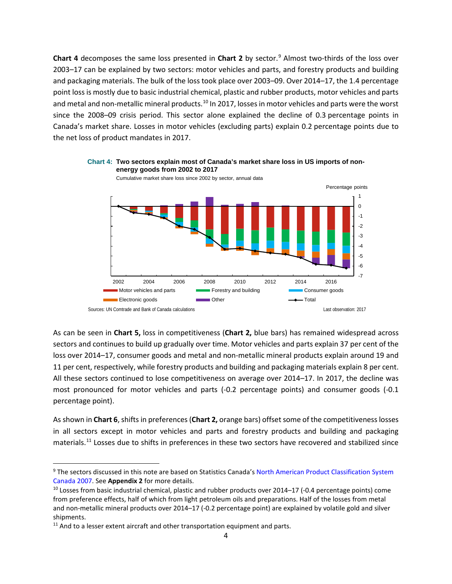**Chart 4** decomposes the same loss presented in **Chart 2** by sector.<sup>[9](#page-6-0)</sup> Almost two-thirds of the loss over 2003–17 can be explained by two sectors: motor vehicles and parts, and forestry products and building and packaging materials. The bulk of the loss took place over 2003–09. Over 2014–17, the 1.4 percentage point loss is mostly due to basic industrial chemical, plastic and rubber products, motor vehicles and parts and metal and non-metallic mineral products.<sup>[10](#page-6-1)</sup> In 2017, losses in motor vehicles and parts were the worst since the 2008–09 crisis period. This sector alone explained the decline of 0.3 percentage points in Canada's market share. Losses in motor vehicles (excluding parts) explain 0.2 percentage points due to the net loss of product mandates in 2017.



**Chart 4: Two sectors explain most of Canada's market share loss in US imports of nonenergy goods from 2002 to 2017**

As can be seen in **Chart 5,** loss in competitiveness (**Chart 2,** blue bars) has remained widespread across sectors and continues to build up gradually over time. Motor vehicles and parts explain 37 per cent of the loss over 2014–17, consumer goods and metal and non-metallic mineral products explain around 19 and 11 per cent, respectively, while forestry products and building and packaging materials explain 8 per cent. All these sectors continued to lose competitiveness on average over 2014–17. In 2017, the decline was most pronounced for motor vehicles and parts (-0.2 percentage points) and consumer goods (-0.1 percentage point).

As shown in **Chart 6**, shifts in preferences(**Chart 2,** orange bars) offset some of the competitiveness losses in all sectors except in motor vehicles and parts and forestry products and building and packaging materials.[11](#page-6-2) Losses due to shifts in preferences in these two sectors have recovered and stabilized since

<span id="page-6-0"></span><sup>&</sup>lt;sup>9</sup> The sectors discussed in this note are based on Statistics Canada's North American Product Classification System [Canada](https://www.statcan.gc.ca/eng/subjects/standard/napcs/notice/napcs-agg-02) 2007. See **Appendix 2** for more details.

<span id="page-6-1"></span><sup>&</sup>lt;sup>10</sup> Losses from basic industrial chemical, plastic and rubber products over 2014–17 (-0.4 percentage points) come from preference effects, half of which from light petroleum oils and preparations. Half of the losses from metal and non-metallic mineral products over 2014–17 (-0.2 percentage point) are explained by volatile gold and silver shipments.

<span id="page-6-2"></span> $11$  And to a lesser extent aircraft and other transportation equipment and parts.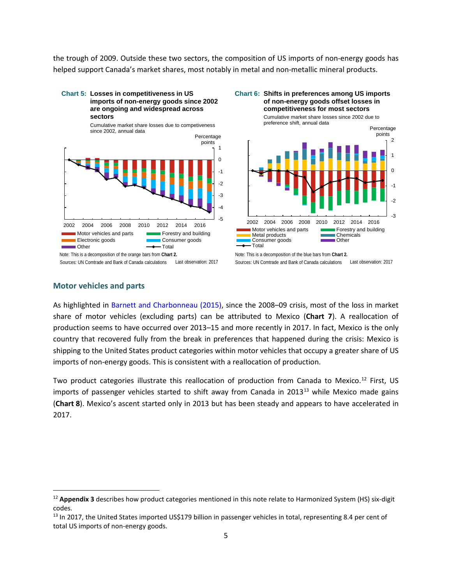the trough of 2009. Outside these two sectors, the composition of US imports of non-energy goods has helped support Canada's market shares, most notably in metal and non-metallic mineral products.

#### **Chart 5: Losses in competitiveness in US imports of non-energy goods since 2002 are ongoing and widespread across sectors**



Sources: UN Comtrade and Bank of Canada calculations Last observation: 2017



Sources: UN Comtrade and Bank of Canada calculations Last observation: 2017

### **Motor vehicles and parts**

As highlighted in [Barnett and Charbonneau \(2015\),](https://www.bankofcanada.ca/2015/08/discussion-paper-2015-5/) since the 2008–09 crisis, most of the loss in market share of motor vehicles (excluding parts) can be attributed to Mexico (**Chart 7**). A reallocation of production seems to have occurred over 2013–15 and more recently in 2017. In fact, Mexico is the only country that recovered fully from the break in preferences that happened during the crisis: Mexico is shipping to the United States product categories within motor vehicles that occupy a greater share of US imports of non-energy goods. This is consistent with a reallocation of production.

Two product categories illustrate this reallocation of production from Canada to Mexico.<sup>[12](#page-7-0)</sup> First, US imports of passenger vehicles started to shift away from Canada in  $2013^{13}$  $2013^{13}$  $2013^{13}$  while Mexico made gains (**Chart 8**). Mexico's ascent started only in 2013 but has been steady and appears to have accelerated in 2017.

<span id="page-7-0"></span><sup>&</sup>lt;sup>12</sup> Appendix 3 describes how product categories mentioned in this note relate to Harmonized System (HS) six-digit codes.

<span id="page-7-1"></span> $13$  In 2017, the United States imported US\$179 billion in passenger vehicles in total, representing 8.4 per cent of total US imports of non-energy goods.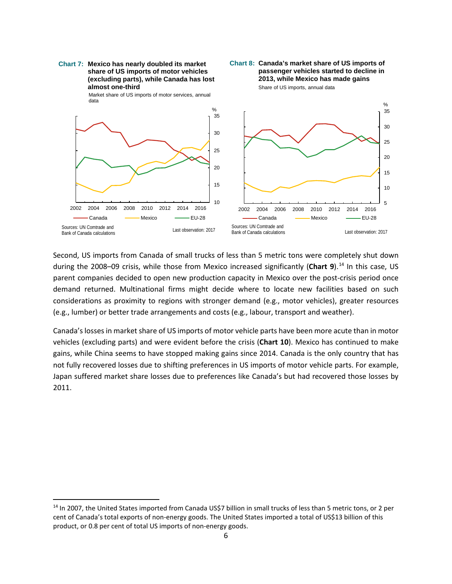

Second, US imports from Canada of small trucks of less than 5 metric tons were completely shut down during the 2008–09 crisis, while those from Mexico increased significantly (**Chart 9**).[14](#page-8-0) In this case, US parent companies decided to open new production capacity in Mexico over the post-crisis period once demand returned. Multinational firms might decide where to locate new facilities based on such considerations as proximity to regions with stronger demand (e.g., motor vehicles), greater resources (e.g., lumber) or better trade arrangements and costs (e.g., labour, transport and weather).

Canada's losses in market share of US imports of motor vehicle parts have been more acute than in motor vehicles (excluding parts) and were evident before the crisis (**Chart 10**). Mexico has continued to make gains, while China seems to have stopped making gains since 2014. Canada is the only country that has not fully recovered losses due to shifting preferences in US imports of motor vehicle parts. For example, Japan suffered market share losses due to preferences like Canada's but had recovered those losses by 2011.

<span id="page-8-0"></span><sup>&</sup>lt;sup>14</sup> In 2007, the United States imported from Canada US\$7 billion in small trucks of less than 5 metric tons, or 2 per cent of Canada's total exports of non-energy goods. The United States imported a total of US\$13 billion of this product, or 0.8 per cent of total US imports of non-energy goods.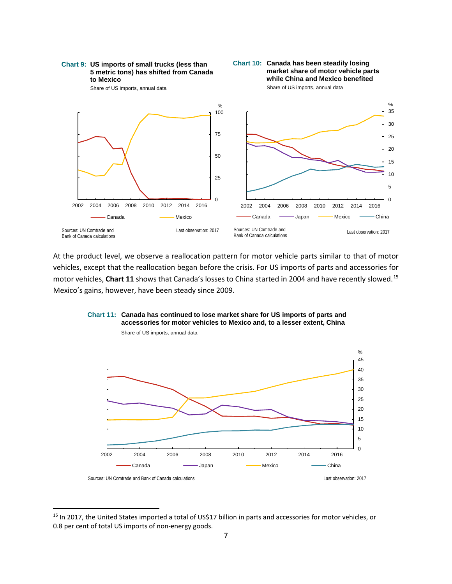

At the product level, we observe a reallocation pattern for motor vehicle parts similar to that of motor vehicles, except that the reallocation began before the crisis. For US imports of parts and accessories for motor vehicles, **Chart 11** shows that Canada's losses to China started in 2004 and have recently slowed.[15](#page-9-0) Mexico's gains, however, have been steady since 2009.



## **Chart 11: Canada has continued to lose market share for US imports of parts and accessories for motor vehicles to Mexico and, to a lesser extent, China**

<span id="page-9-0"></span><sup>&</sup>lt;sup>15</sup> In 2017, the United States imported a total of US\$17 billion in parts and accessories for motor vehicles, or 0.8 per cent of total US imports of non-energy goods.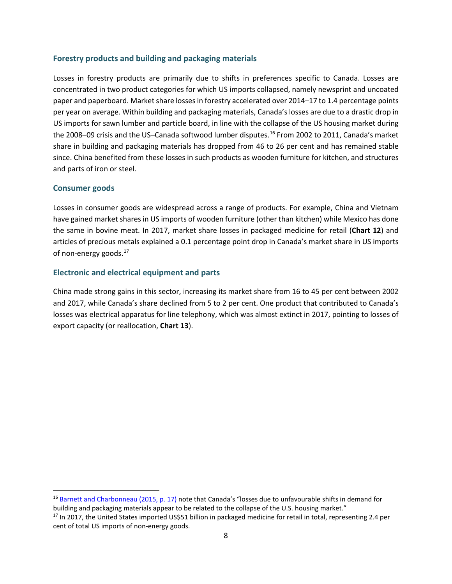### **Forestry products and building and packaging materials**

Losses in forestry products are primarily due to shifts in preferences specific to Canada. Losses are concentrated in two product categories for which US imports collapsed, namely newsprint and uncoated paper and paperboard. Market share losses in forestry accelerated over 2014–17 to 1.4 percentage points per year on average. Within building and packaging materials, Canada's losses are due to a drastic drop in US imports for sawn lumber and particle board, in line with the collapse of the US housing market during the 2008–09 crisis and the US–Canada softwood lumber disputes.<sup>[16](#page-10-0)</sup> From 2002 to 2011, Canada's market share in building and packaging materials has dropped from 46 to 26 per cent and has remained stable since. China benefited from these losses in such products as wooden furniture for kitchen, and structures and parts of iron or steel.

### **Consumer goods**

Losses in consumer goods are widespread across a range of products. For example, China and Vietnam have gained market shares in US imports of wooden furniture (other than kitchen) while Mexico has done the same in bovine meat. In 2017, market share losses in packaged medicine for retail (**Chart 12**) and articles of precious metals explained a 0.1 percentage point drop in Canada's market share in US imports of non-energy goods.<sup>[17](#page-10-1)</sup>

### **Electronic and electrical equipment and parts**

China made strong gains in this sector, increasing its market share from 16 to 45 per cent between 2002 and 2017, while Canada's share declined from 5 to 2 per cent. One product that contributed to Canada's losses was electrical apparatus for line telephony, which was almost extinct in 2017, pointing to losses of export capacity (or reallocation, **Chart 13**).

<span id="page-10-1"></span><span id="page-10-0"></span><sup>&</sup>lt;sup>16</sup> [Barnett and Charbonneau \(2015, p. 17\)](https://www.bankofcanada.ca/2015/08/discussion-paper-2015-5/) note that Canada's "losses due to unfavourable shifts in demand for building and packaging materials appear to be related to the collapse of the U.S. housing market." <sup>17</sup> In 2017, the United States imported US\$51 billion in packaged medicine for retail in total, representing 2.4 per cent of total US imports of non-energy goods.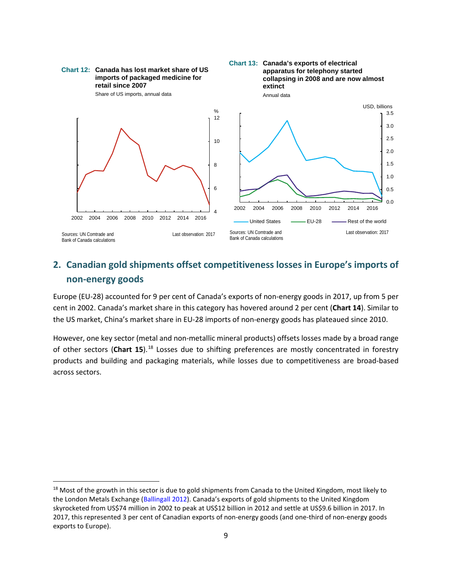

# **2. Canadian gold shipments offset competitiveness losses in Europe's imports of non-energy goods**

Europe (EU-28) accounted for 9 per cent of Canada's exports of non-energy goods in 2017, up from 5 per cent in 2002. Canada's market share in this category has hovered around 2 per cent (**Chart 14**). Similar to the US market, China's market share in EU-28 imports of non-energy goods has plateaued since 2010.

However, one key sector (metal and non-metallic mineral products) offsets losses made by a broad range of other sectors (**Chart 15**).[18](#page-11-0) Losses due to shifting preferences are mostly concentrated in forestry products and building and packaging materials, while losses due to competitiveness are broad-based across sectors.

<span id="page-11-0"></span><sup>&</sup>lt;sup>18</sup> Most of the growth in this sector is due to gold shipments from Canada to the United Kingdom, most likely to the London Metals Exchange [\(Ballingall 2012\)](https://www.macleans.ca/economy/business/the-british-are-coming-for-our-gold/). Canada's exports of gold shipments to the United Kingdom skyrocketed from US\$74 million in 2002 to peak at US\$12 billion in 2012 and settle at US\$9.6 billion in 2017. In 2017, this represented 3 per cent of Canadian exports of non-energy goods (and one-third of non-energy goods exports to Europe).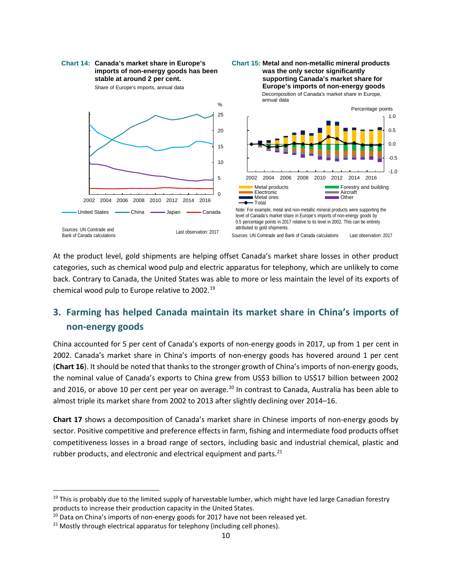

At the product level, gold shipments are helping offset Canada's market share losses in other product categories, such as chemical wood pulp and electric apparatus for telephony, which are unlikely to come back. Contrary to Canada, the United States was able to more or less maintain the level of its exports of chemical wood pulp to Europe relative to 2002.[19](#page-12-0)

# **3. Farming has helped Canada maintain its market share in China's imports of non-energy goods**

China accounted for 5 per cent of Canada's exports of non-energy goods in 2017, up from 1 per cent in 2002. Canada's market share in China's imports of non-energy goods has hovered around 1 per cent (**Chart 16**). It should be noted that thanks to the stronger growth of China's imports of non-energy goods, the nominal value of Canada's exports to China grew from US\$3 billion to US\$17 billion between 2002 and [20](#page-12-1)16, or above 10 per cent per year on average.<sup>20</sup> In contrast to Canada, Australia has been able to almost triple its market share from 2002 to 2013 after slightly declining over 2014–16.

**Chart 17** shows a decomposition of Canada's market share in Chinese imports of non-energy goods by sector. Positive competitive and preference effects in farm, fishing and intermediate food products offset competitiveness losses in a broad range of sectors, including basic and industrial chemical, plastic and rubber products, and electronic and electrical equipment and parts. $^{21}$ 

<span id="page-12-0"></span> $19$  This is probably due to the limited supply of harvestable lumber, which might have led large Canadian forestry products to increase their production capacity in the United States.

<span id="page-12-1"></span> $20$  Data on China's imports of non-energy goods for 2017 have not been released yet.

<span id="page-12-2"></span> $21$  Mostly through electrical apparatus for telephony (including cell phones).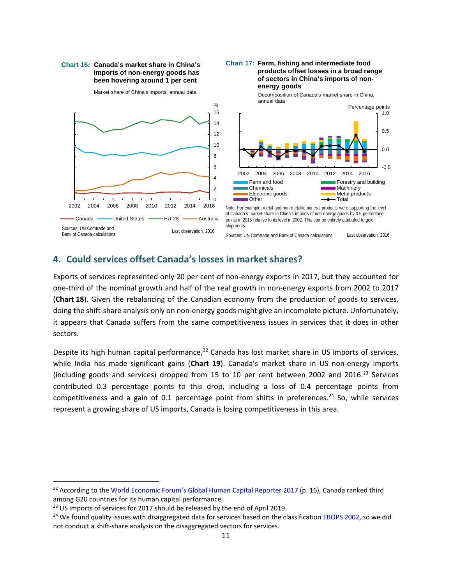#### **Chart 16: Canada's market share in China's imports of non-energy goods has been hovering around 1 per cent**



#### **Chart 17: Farm, fishing and intermediate food products offset losses in a broad range of sectors in China's imports of nonenergy goods**



Note: For example, metal and non-metallic mineral products were supporting the level of Canada's market share in China's imports of non-energy goods by 0.5 percentage points in 2015 relative to its level in 2002. This can be entirely attributed to gold .<br>shipments.

Sources: UN Comtrade and Bank of Canada calculations Last observation: 2016

## **4. Could services offset Canada's losses in market shares?**

Exports of services represented only 20 per cent of non-energy exports in 2017, but they accounted for one-third of the nominal growth and half of the real growth in non-energy exports from 2002 to 2017 (**Chart 18**). Given the rebalancing of the Canadian economy from the production of goods to services, doing the shift-share analysis only on non-energy goods might give an incomplete picture. Unfortunately, it appears that Canada suffers from the same competitiveness issues in services that it does in other sectors.

Despite its high human capital performance,<sup>[22](#page-13-0)</sup> Canada has lost market share in US imports of services, while India has made significant gains (**Chart 19**). Canada's market share in US non-energy imports (including goods and services) dropped from 15 to 10 per cent between 2002 and 2016.<sup>[23](#page-13-1)</sup> Services contributed 0.3 percentage points to this drop, including a loss of 0.4 percentage points from competitiveness and a gain of 0.1 percentage point from shifts in preferences.<sup>[24](#page-13-2)</sup> So, while services represent a growing share of US imports, Canada is losing competitiveness in this area.

<span id="page-13-0"></span><sup>&</sup>lt;sup>22</sup> According to th[e World Economic Forum's Global Human Capital Reporter 2017](http://www3.weforum.org/docs/WEF_Global_Human_Capital_Report_2017.pdf) (p. 16), Canada ranked third among G20 countries for its human capital performance.

<span id="page-13-1"></span> $23$  US imports of services for 2017 should be released by the end of April 2019.

<span id="page-13-2"></span><sup>&</sup>lt;sup>24</sup> We found quality issues with disaggregated data for services based on the classification [EBOPS 2002,](https://unstats.un.org/unsd/tradekb/Knowledgebase/EBOPS-2002) so we did not conduct a shift-share analysis on the disaggregated vectors for services.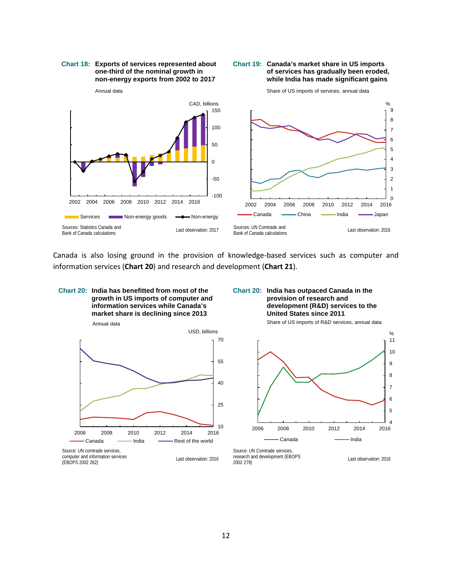#### **Chart 18: Exports of services represented about one-third of the nominal growth in non-energy exports from 2002 to 2017**





Canada is also losing ground in the provision of knowledge-based services such as computer and information services (**Chart 20**) and research and development (**Chart 21**).



**Chart 20: India has outpaced Canada in the provision of research and development (R&D) services to the United States since 2011**

Annual data



Last observation: 2016 computer and information services (EBOPS 2002 262)

Share of US imports of R&D services, annual data



Last observation: 2016 Source: UN Comtrade services, research and development (EBOPS 2002 279)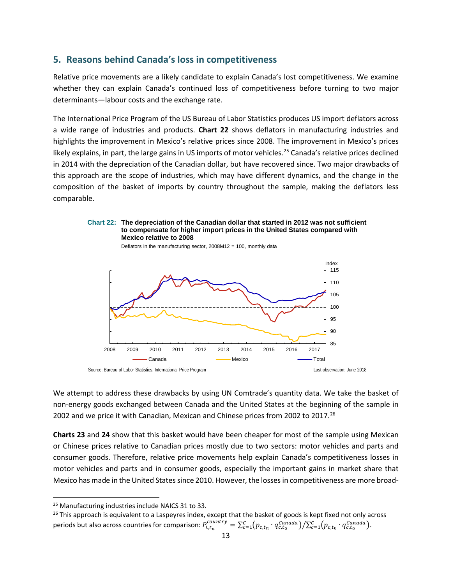# **5. Reasons behind Canada's loss in competitiveness**

Relative price movements are a likely candidate to explain Canada's lost competitiveness. We examine whether they can explain Canada's continued loss of competitiveness before turning to two major determinants—labour costs and the exchange rate.

The International Price Program of the US Bureau of Labor Statistics produces US import deflators across a wide range of industries and products. **Chart 22** shows deflators in manufacturing industries and highlights the improvement in Mexico's relative prices since 2008. The improvement in Mexico's prices likely explains, in part, the large gains in US imports of motor vehicles.<sup>[25](#page-15-0)</sup> Canada's relative prices declined in 2014 with the depreciation of the Canadian dollar, but have recovered since. Two major drawbacks of this approach are the scope of industries, which may have different dynamics, and the change in the composition of the basket of imports by country throughout the sample, making the deflators less comparable.

### **Chart 22: The depreciation of the Canadian dollar that started in 2012 was not sufficient to compensate for higher import prices in the United States compared with Mexico relative to 2008**





We attempt to address these drawbacks by using UN Comtrade's quantity data. We take the basket of non-energy goods exchanged between Canada and the United States at the beginning of the sample in 2002 and we price it with Canadian, Mexican and Chinese prices from 2002 to 2017.<sup>[26](#page-15-1)</sup>

**Charts 23** and **24** show that this basket would have been cheaper for most of the sample using Mexican or Chinese prices relative to Canadian prices mostly due to two sectors: motor vehicles and parts and consumer goods. Therefore, relative price movements help explain Canada's competitiveness losses in motor vehicles and parts and in consumer goods, especially the important gains in market share that Mexico has made in the United States since 2010. However, the losses in competitiveness are more broad-

<span id="page-15-0"></span> <sup>25</sup> Manufacturing industries include NAICS 31 to 33.

<span id="page-15-1"></span> $26$  This approach is equivalent to a Laspeyres index, except that the basket of goods is kept fixed not only across periods but also across countries for comparison:  $P_{L,t_n}^{country} = \sum_{c=1}^{C} (p_{c,t_n} \cdot q_{c,t_0}^{Canada}) / \sum_{c=1}^{C} (p_{c,t_0} \cdot q_{c,t_0}^{Canada})$ .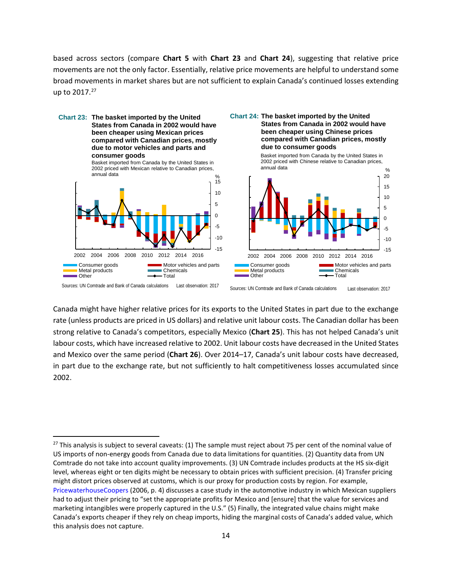based across sectors (compare **Chart 5** with **Chart 23** and **Chart 24**), suggesting that relative price movements are not the only factor. Essentially, relative price movements are helpful to understand some broad movements in market shares but are not sufficient to explain Canada's continued losses extending up to 2017.<sup>[27](#page-16-0)</sup>



Canada might have higher relative prices for its exports to the United States in part due to the exchange rate (unless products are priced in US dollars) and relative unit labour costs. The Canadian dollar has been strong relative to Canada's competitors, especially Mexico (**Chart 25**). This has not helped Canada's unit labour costs, which have increased relative to 2002. Unit labour costs have decreased in the United States and Mexico over the same period (**Chart 26**). Over 2014–17, Canada's unit labour costs have decreased, in part due to the exchange rate, but not sufficiently to halt competitiveness losses accumulated since 2002.

<span id="page-16-0"></span><sup>&</sup>lt;sup>27</sup> This analysis is subject to several caveats: (1) The sample must reject about 75 per cent of the nominal value of US imports of non-energy goods from Canada due to data limitations for quantities. (2) Quantity data from UN Comtrade do not take into account quality improvements. (3) UN Comtrade includes products at the HS six-digit level, whereas eight or ten digits might be necessary to obtain prices with sufficient precision. (4) Transfer pricing might distort prices observed at customs, which is our proxy for production costs by region. For example, [PricewaterhouseCoopers](https://www.pwc.com/gx/en/automotive/pdf/pwc_automotive_transfer_pricing.pdf) (2006, p. 4) discusses a case study in the automotive industry in which Mexican suppliers had to adjust their pricing to "set the appropriate profits for Mexico and [ensure] that the value for services and marketing intangibles were properly captured in the U.S." (5) Finally, the integrated value chains might make Canada's exports cheaper if they rely on cheap imports, hiding the marginal costs of Canada's added value, which this analysis does not capture.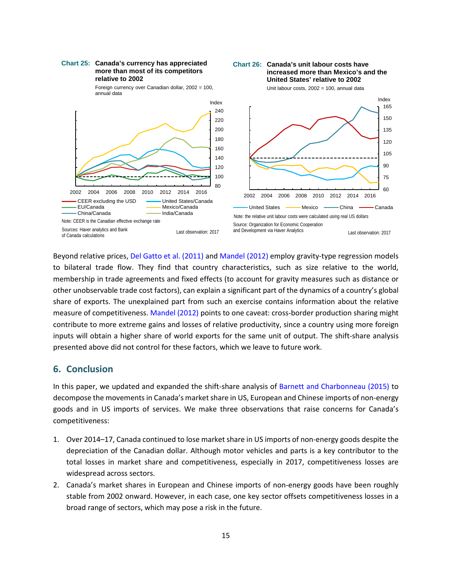#### **Chart 25: Canada's currency has appreciated more than most of its competitors relative to 2002**



**Chart 26: Canada's unit labour costs have** 

**increased more than Mexico's and the** 

**United States' relative to 2002**

Beyond relative prices[, Del Gatto et al. \(2011\)](https://ideas.repec.org/p/fip/fedgif/1026.html) an[d Mandel \(2012\)](https://www.newyorkfed.org/medialibrary/media/research/current_issues/ci18-1.pdf) employ gravity-type regression models to bilateral trade flow. They find that country characteristics, such as size relative to the world, membership in trade agreements and fixed effects (to account for gravity measures such as distance or other unobservable trade cost factors), can explain a significant part of the dynamics of a country's global share of exports. The unexplained part from such an exercise contains information about the relative measure of competitiveness[. Mandel \(2012\)](https://www.newyorkfed.org/medialibrary/media/research/current_issues/ci18-1.pdf) points to one caveat: cross-border production sharing might contribute to more extreme gains and losses of relative productivity, since a country using more foreign inputs will obtain a higher share of world exports for the same unit of output. The shift-share analysis presented above did not control for these factors, which we leave to future work.

## **6. Conclusion**

In this paper, we updated and expanded the shift-share analysis of [Barnett and Charbonneau \(2015\)](https://www.bankofcanada.ca/2015/08/discussion-paper-2015-5/) to decompose the movements in Canada's market share in US, European and Chinese imports of non-energy goods and in US imports of services. We make three observations that raise concerns for Canada's competitiveness:

- 1. Over 2014–17, Canada continued to lose market share in US imports of non-energy goods despite the depreciation of the Canadian dollar. Although motor vehicles and parts is a key contributor to the total losses in market share and competitiveness, especially in 2017, competitiveness losses are widespread across sectors.
- 2. Canada's market shares in European and Chinese imports of non-energy goods have been roughly stable from 2002 onward. However, in each case, one key sector offsets competitiveness losses in a broad range of sectors, which may pose a risk in the future.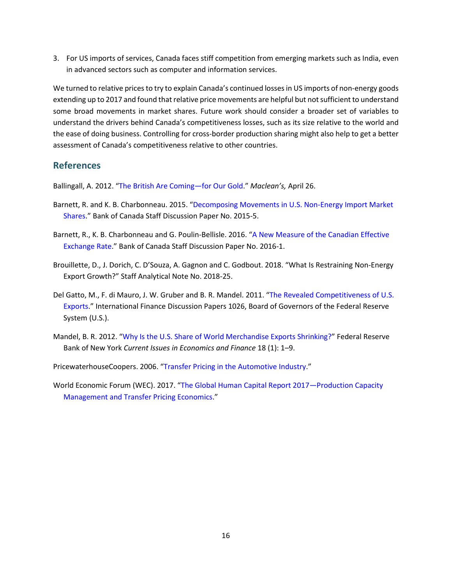3. For US imports of services, Canada faces stiff competition from emerging markets such as India, even in advanced sectors such as computer and information services.

We turned to relative prices to try to explain Canada's continued losses in US imports of non-energy goods extending up to 2017 and found that relative price movements are helpful but not sufficient to understand some broad movements in market shares. Future work should consider a broader set of variables to understand the drivers behind Canada's competitiveness losses, such as its size relative to the world and the ease of doing business. Controlling for cross-border production sharing might also help to get a better assessment of Canada's competitiveness relative to other countries.

# **References**

Ballingall, A. 2012. ["The British Are Coming—for Our Gold.](https://www.macleans.ca/economy/business/the-british-are-coming-for-our-gold/)" *Maclean's,* April 26.

- Barnett, R. and K. B. Charbonneau. 2015. ["Decomposing Movements in U.S. Non-Energy Import Market](https://www.bankofcanada.ca/2015/08/discussion-paper-2015-5/)  [Shares.](https://www.bankofcanada.ca/2015/08/discussion-paper-2015-5/)" Bank of Canada Staff Discussion Paper No. 2015-5.
- Barnett, R., K. B. Charbonneau and G. Poulin-Bellisle. 2016. ["A New Measure of the Canadian Effective](https://www.bankofcanada.ca/2016/01/staff-discussion-paper-2016-1/)  [Exchange Rate.](https://www.bankofcanada.ca/2016/01/staff-discussion-paper-2016-1/)" Bank of Canada Staff Discussion Paper No. 2016-1.
- Brouillette, D., J. Dorich, C. D'Souza, A. Gagnon and C. Godbout. 2018. "What Is Restraining Non-Energy Export Growth?" Staff Analytical Note No. 2018-25.
- Del Gatto, M., F. di Mauro, J. W. Gruber and B. R. Mandel. 2011. ["The Revealed Competitiveness of U.S.](https://ideas.repec.org/p/fip/fedgif/1026.html)  [Exports.](https://ideas.repec.org/p/fip/fedgif/1026.html)" International Finance Discussion Papers 1026, Board of Governors of the Federal Reserve System (U.S.).
- Mandel, B. R. 2012. ["Why Is the U.S. Share of World Merchandise Exports Shrinking?"](https://www.newyorkfed.org/medialibrary/media/research/current_issues/ci18-1.pdf) Federal Reserve Bank of New York *Current Issues in Economics and Finance* 18 (1): 1–9.
- PricewaterhouseCoopers. 2006. ["Transfer Pricing in the Automotive Industry.](https://www.pwc.com/gx/en/automotive/pdf/pwc_automotive_transfer_pricing.pdf)"
- World Economic Forum (WEC). 2017. ["The Global Human Capital Report 2017—](http://www3.weforum.org/docs/WEF_Global_Human_Capital_Report_2017.pdf)Production Capacity Management and Transfer Pricing Economics."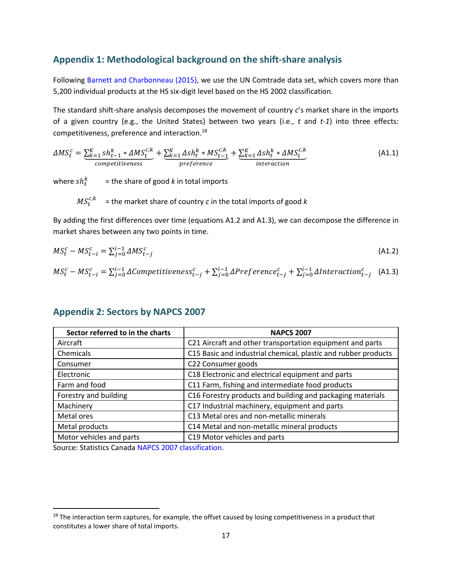# **Appendix 1: Methodological background on the shift-share analysis**

Following [Barnett and Charbonneau \(2015\),](https://www.bankofcanada.ca/2015/08/discussion-paper-2015-5/) we use the UN Comtrade data set, which covers more than 5,200 individual products at the HS six-digit level based on the HS 2002 classification.

The standard shift-share analysis decomposes the movement of country *c*'s market share in the imports of a given country (e.g., the United States) between two years (i.e., *t* and *t-1*) into three effects: competitiveness, preference and interaction.[28](#page-19-0)

$$
\Delta MS_t^c = \underbrace{\sum_{k=1}^K sh_{t-1}^k * \Delta MS_t^{c,k}}_{competitiveness} + \underbrace{\sum_{k=1}^K \Delta sh_t^k * MS_{t-1}^{c,k}}_{preference} + \underbrace{\sum_{k=1}^K \Delta sh_t^k * \Delta MS_t^{c,k}}_{interaction}
$$
(A1.1)

where  $sh_t^k$  = the share of good *k* in total imports

$$
MS_t^{c,k} =
$$
 the market share of country *c* in the total imports of good *k*

By adding the first differences over time (equations A1.2 and A1.3), we can decompose the difference in market shares between any two points in time.

$$
MS_t^c - MS_{t-i}^c = \sum_{j=0}^{i-1} \Delta MS_{t-j}^c \tag{A1.2}
$$

$$
MS_t^c - MS_{t-i}^c = \sum_{j=0}^{i-1} \Delta Competitiveness_{t-j}^c + \sum_{j=0}^{i-1} \Delta Preference_{t-j}^c + \sum_{j=0}^{i-1} \Delta Interaction_{t-j}^c \quad (A1.3)
$$

| Sector referred to in the charts | <b>NAPCS 2007</b>                                              |  |
|----------------------------------|----------------------------------------------------------------|--|
| Aircraft                         | C21 Aircraft and other transportation equipment and parts      |  |
| Chemicals                        | C15 Basic and industrial chemical, plastic and rubber products |  |
| Consumer                         | C22 Consumer goods                                             |  |
| Electronic                       | C18 Electronic and electrical equipment and parts              |  |
| Farm and food                    | C11 Farm, fishing and intermediate food products               |  |
| Forestry and building            | C16 Forestry products and building and packaging materials     |  |
| Machinery                        | C17 Industrial machinery, equipment and parts                  |  |
| Metal ores                       | C13 Metal ores and non-metallic minerals                       |  |
| Metal products                   | C14 Metal and non-metallic mineral products                    |  |
| Motor vehicles and parts         | C19 Motor vehicles and parts                                   |  |

### **Appendix 2: Sectors by NAPCS 2007**

Source: Statistics Canada [NAPCS 2007 classification.](https://www.statcan.gc.ca/eng/subjects/standard/napcs/notice/napcs-agg-02)

<span id="page-19-0"></span><sup>&</sup>lt;sup>28</sup> The interaction term captures, for example, the offset caused by losing competitiveness in a product that constitutes a lower share of total imports.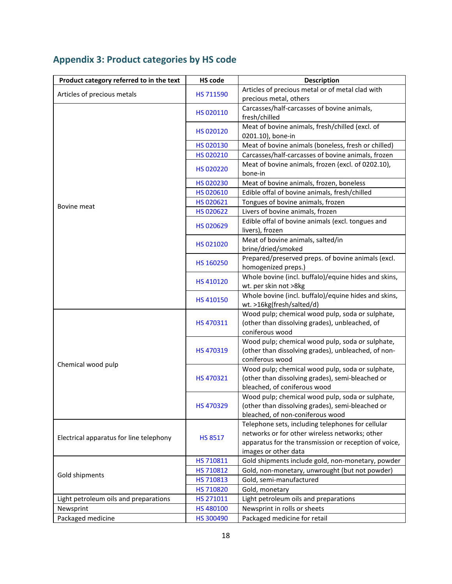| <b>Appendix 3: Product categories by HS code</b> |  |  |  |  |
|--------------------------------------------------|--|--|--|--|
|--------------------------------------------------|--|--|--|--|

| Product category referred to in the text | <b>HS code</b>         | <b>Description</b>                                                     |  |  |
|------------------------------------------|------------------------|------------------------------------------------------------------------|--|--|
| Articles of precious metals              | HS 711590              | Articles of precious metal or of metal clad with                       |  |  |
|                                          |                        | precious metal, others                                                 |  |  |
|                                          | HS 020110              | Carcasses/half-carcasses of bovine animals,                            |  |  |
|                                          |                        | fresh/chilled                                                          |  |  |
|                                          | HS 020120              | Meat of bovine animals, fresh/chilled (excl. of                        |  |  |
|                                          |                        | 0201.10), bone-in                                                      |  |  |
|                                          | HS 020130              | Meat of bovine animals (boneless, fresh or chilled)                    |  |  |
|                                          | HS 020210              | Carcasses/half-carcasses of bovine animals, frozen                     |  |  |
|                                          | HS 020220              | Meat of bovine animals, frozen (excl. of 0202.10),                     |  |  |
|                                          |                        | bone-in                                                                |  |  |
|                                          | HS 020230              | Meat of bovine animals, frozen, boneless                               |  |  |
|                                          | HS 020610              | Edible offal of bovine animals, fresh/chilled                          |  |  |
| Bovine meat                              | HS 020621              | Tongues of bovine animals, frozen                                      |  |  |
|                                          | HS 020622              | Livers of bovine animals, frozen                                       |  |  |
|                                          | HS 020629              | Edible offal of bovine animals (excl. tongues and                      |  |  |
|                                          |                        | livers), frozen                                                        |  |  |
|                                          | HS 021020              | Meat of bovine animals, salted/in                                      |  |  |
|                                          |                        | brine/dried/smoked                                                     |  |  |
|                                          | HS 160250              | Prepared/preserved preps. of bovine animals (excl.                     |  |  |
|                                          |                        | homogenized preps.)                                                    |  |  |
|                                          | HS 410120              | Whole bovine (incl. buffalo)/equine hides and skins,                   |  |  |
|                                          |                        | wt. per skin not >8kg                                                  |  |  |
|                                          | HS 410150<br>HS 470311 | Whole bovine (incl. buffalo)/equine hides and skins,                   |  |  |
|                                          |                        | wt. >16kg(fresh/salted/d)                                              |  |  |
|                                          |                        | Wood pulp; chemical wood pulp, soda or sulphate,                       |  |  |
|                                          |                        | (other than dissolving grades), unbleached, of                         |  |  |
|                                          | HS 470319              | coniferous wood                                                        |  |  |
|                                          |                        | Wood pulp; chemical wood pulp, soda or sulphate,                       |  |  |
|                                          |                        | (other than dissolving grades), unbleached, of non-<br>coniferous wood |  |  |
| Chemical wood pulp                       |                        | Wood pulp; chemical wood pulp, soda or sulphate,                       |  |  |
|                                          | HS 470321<br>HS 470329 | (other than dissolving grades), semi-bleached or                       |  |  |
|                                          |                        | bleached, of coniferous wood                                           |  |  |
|                                          |                        | Wood pulp; chemical wood pulp, soda or sulphate,                       |  |  |
|                                          |                        | (other than dissolving grades), semi-bleached or                       |  |  |
|                                          |                        | bleached, of non-coniferous wood                                       |  |  |
|                                          |                        | Telephone sets, including telephones for cellular                      |  |  |
| Electrical apparatus for line telephony  | <b>HS 8517</b>         | networks or for other wireless networks; other                         |  |  |
|                                          |                        | apparatus for the transmission or reception of voice,                  |  |  |
|                                          |                        | images or other data                                                   |  |  |
|                                          | HS 710811              | Gold shipments include gold, non-monetary, powder                      |  |  |
| Gold shipments                           | HS 710812              | Gold, non-monetary, unwrought (but not powder)                         |  |  |
|                                          | HS 710813              | Gold, semi-manufactured                                                |  |  |
|                                          | HS 710820              | Gold, monetary                                                         |  |  |
| Light petroleum oils and preparations    | HS 271011              | Light petroleum oils and preparations                                  |  |  |
| Newsprint                                | HS 480100              | Newsprint in rolls or sheets                                           |  |  |
| Packaged medicine                        | HS 300490              | Packaged medicine for retail                                           |  |  |